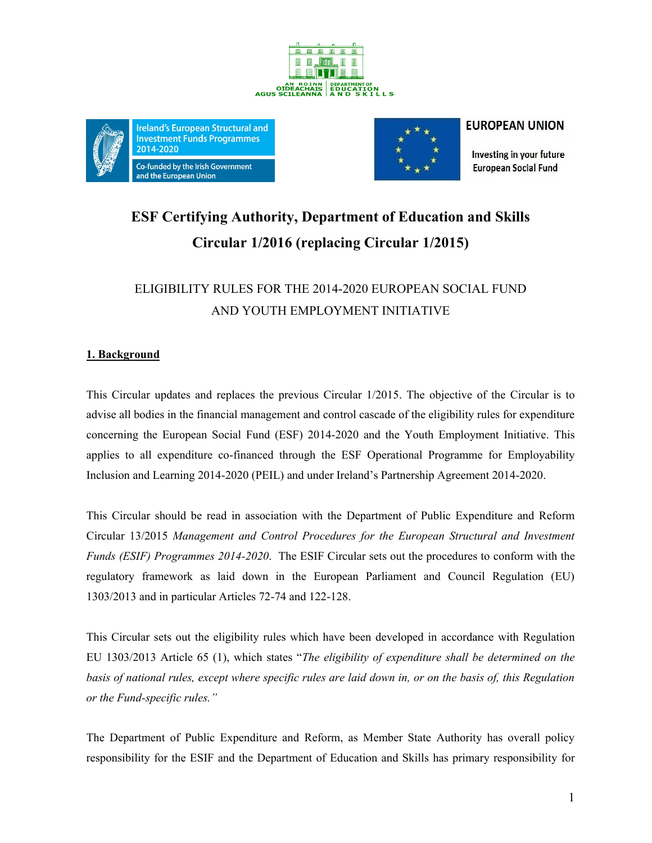





## **EUROPEAN UNION**

Investing in your future **European Social Fund** 

# **ESF Certifying Authority, Department of Education and Skills Circular 1/2016 (replacing Circular 1/2015)**

# ELIGIBILITY RULES FOR THE 2014-2020 EUROPEAN SOCIAL FUND AND YOUTH EMPLOYMENT INITIATIVE

# **1. Background**

This Circular updates and replaces the previous Circular 1/2015. The objective of the Circular is to advise all bodies in the financial management and control cascade of the eligibility rules for expenditure concerning the European Social Fund (ESF) 2014-2020 and the Youth Employment Initiative. This applies to all expenditure co-financed through the ESF Operational Programme for Employability Inclusion and Learning 2014-2020 (PEIL) and under Ireland's Partnership Agreement 2014-2020.

This Circular should be read in association with the Department of Public Expenditure and Reform Circular 13/2015 *Management and Control Procedures for the European Structural and Investment Funds (ESIF) Programmes 2014-2020*. The ESIF Circular sets out the procedures to conform with the regulatory framework as laid down in the European Parliament and Council Regulation (EU) 1303/2013 and in particular Articles 72-74 and 122-128.

This Circular sets out the eligibility rules which have been developed in accordance with Regulation EU 1303/2013 Article 65 (1), which states "*The eligibility of expenditure shall be determined on the basis of national rules, except where specific rules are laid down in, or on the basis of, this Regulation or the Fund-specific rules."* 

The Department of Public Expenditure and Reform, as Member State Authority has overall policy responsibility for the ESIF and the Department of Education and Skills has primary responsibility for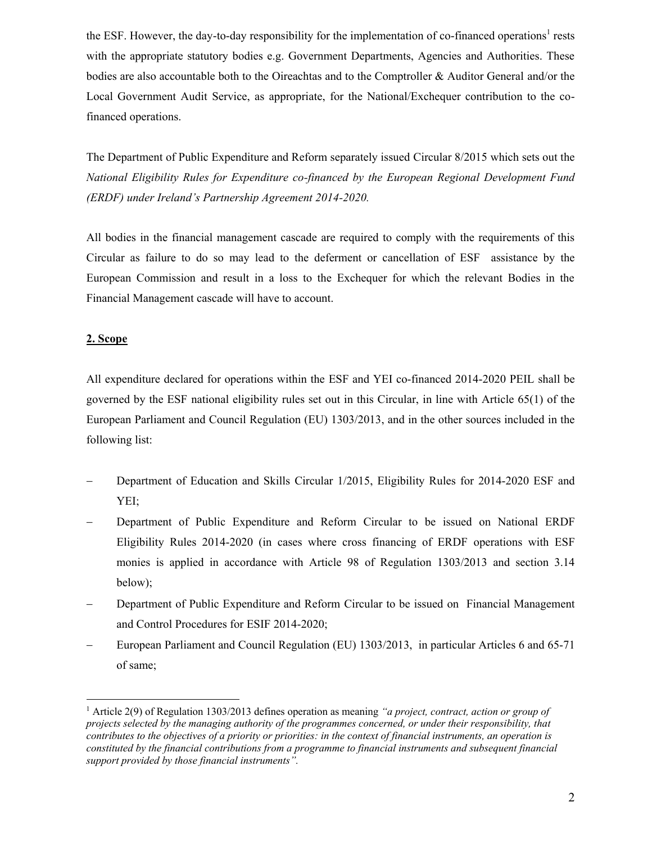the ESF. However, the day-to-day responsibility for the implementation of co-financed operations<sup>1</sup> rests with the appropriate statutory bodies e.g. Government Departments, Agencies and Authorities. These bodies are also accountable both to the Oireachtas and to the Comptroller & Auditor General and/or the Local Government Audit Service, as appropriate, for the National/Exchequer contribution to the cofinanced operations.

The Department of Public Expenditure and Reform separately issued Circular 8/2015 which sets out the *National Eligibility Rules for Expenditure co-financed by the European Regional Development Fund (ERDF) under Ireland's Partnership Agreement 2014-2020.*

All bodies in the financial management cascade are required to comply with the requirements of this Circular as failure to do so may lead to the deferment or cancellation of ESF assistance by the European Commission and result in a loss to the Exchequer for which the relevant Bodies in the Financial Management cascade will have to account.

### **2. Scope**

 $\overline{a}$ 

All expenditure declared for operations within the ESF and YEI co-financed 2014-2020 PEIL shall be governed by the ESF national eligibility rules set out in this Circular, in line with Article 65(1) of the European Parliament and Council Regulation (EU) 1303/2013, and in the other sources included in the following list:

- Department of Education and Skills Circular 1/2015, Eligibility Rules for 2014-2020 ESF and YEI;
- Department of Public Expenditure and Reform Circular to be issued on National ERDF Eligibility Rules 2014-2020 (in cases where cross financing of ERDF operations with ESF monies is applied in accordance with Article 98 of Regulation 1303/2013 and section 3.14 below);
- Department of Public Expenditure and Reform Circular to be issued on Financial Management and Control Procedures for ESIF 2014-2020;
- European Parliament and Council Regulation (EU) 1303/2013, in particular Articles 6 and 65-71 of same;

<sup>1</sup> Article 2(9) of Regulation 1303/2013 defines operation as meaning *"a project, contract, action or group of projects selected by the managing authority of the programmes concerned, or under their responsibility, that contributes to the objectives of a priority or priorities: in the context of financial instruments, an operation is constituted by the financial contributions from a programme to financial instruments and subsequent financial support provided by those financial instruments".*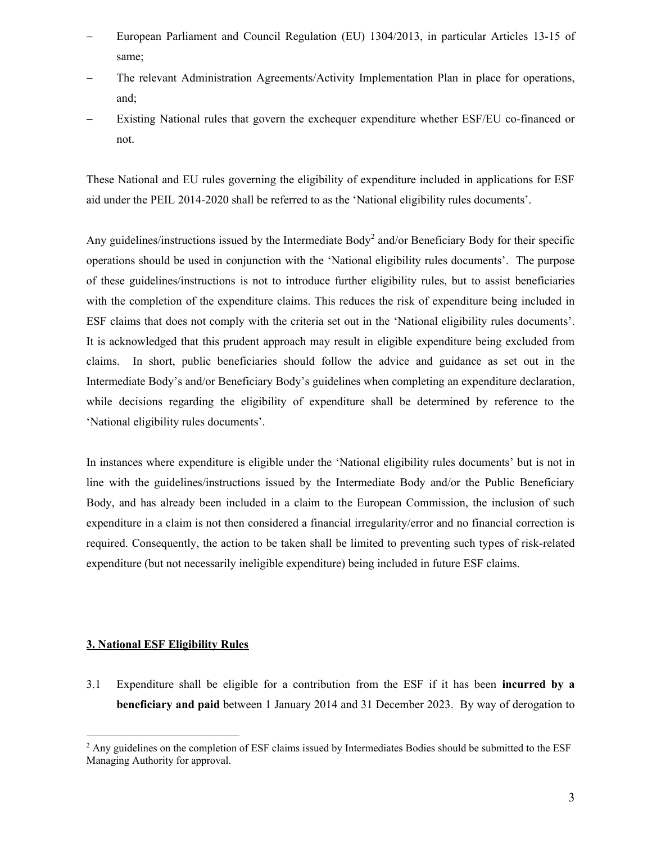- European Parliament and Council Regulation (EU) 1304/2013, in particular Articles 13-15 of same;
- The relevant Administration Agreements/Activity Implementation Plan in place for operations, and;
- Existing National rules that govern the exchequer expenditure whether ESF/EU co-financed or not.

These National and EU rules governing the eligibility of expenditure included in applications for ESF aid under the PEIL 2014-2020 shall be referred to as the 'National eligibility rules documents'.

Any guidelines/instructions issued by the Intermediate Body<sup>2</sup> and/or Beneficiary Body for their specific operations should be used in conjunction with the 'National eligibility rules documents'. The purpose of these guidelines/instructions is not to introduce further eligibility rules, but to assist beneficiaries with the completion of the expenditure claims. This reduces the risk of expenditure being included in ESF claims that does not comply with the criteria set out in the 'National eligibility rules documents'. It is acknowledged that this prudent approach may result in eligible expenditure being excluded from claims. In short, public beneficiaries should follow the advice and guidance as set out in the Intermediate Body's and/or Beneficiary Body's guidelines when completing an expenditure declaration, while decisions regarding the eligibility of expenditure shall be determined by reference to the 'National eligibility rules documents'.

In instances where expenditure is eligible under the 'National eligibility rules documents' but is not in line with the guidelines/instructions issued by the Intermediate Body and/or the Public Beneficiary Body, and has already been included in a claim to the European Commission, the inclusion of such expenditure in a claim is not then considered a financial irregularity/error and no financial correction is required. Consequently, the action to be taken shall be limited to preventing such types of risk-related expenditure (but not necessarily ineligible expenditure) being included in future ESF claims.

### **3. National ESF Eligibility Rules**

 $\overline{a}$ 

3.1 Expenditure shall be eligible for a contribution from the ESF if it has been **incurred by a beneficiary and paid** between 1 January 2014 and 31 December 2023. By way of derogation to

<sup>&</sup>lt;sup>2</sup> Any guidelines on the completion of ESF claims issued by Intermediates Bodies should be submitted to the ESF Managing Authority for approval.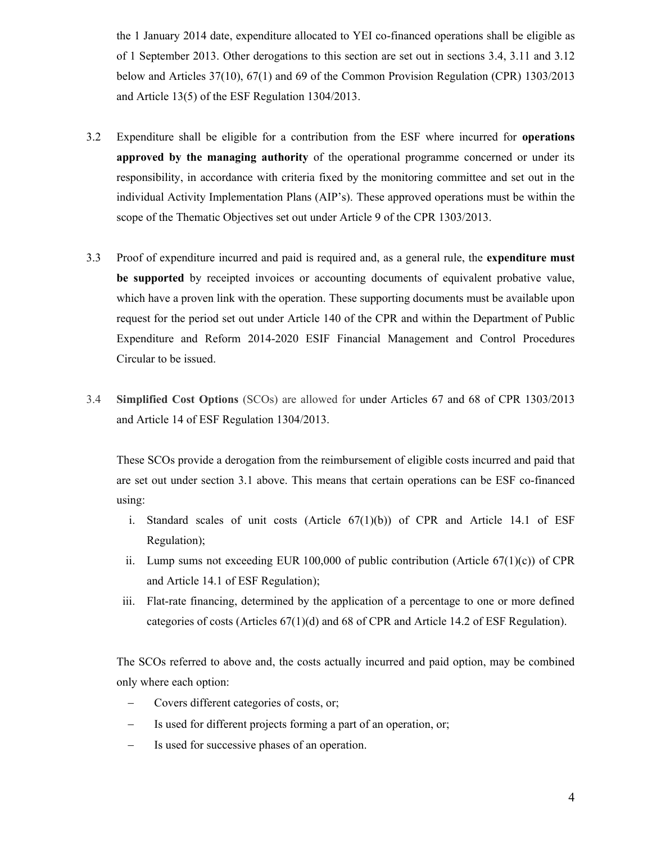the 1 January 2014 date, expenditure allocated to YEI co-financed operations shall be eligible as of 1 September 2013. Other derogations to this section are set out in sections 3.4, 3.11 and 3.12 below and Articles 37(10), 67(1) and 69 of the Common Provision Regulation (CPR) 1303/2013 and Article 13(5) of the ESF Regulation 1304/2013.

- 3.2 Expenditure shall be eligible for a contribution from the ESF where incurred for **operations approved by the managing authority** of the operational programme concerned or under its responsibility, in accordance with criteria fixed by the monitoring committee and set out in the individual Activity Implementation Plans (AIP's). These approved operations must be within the scope of the Thematic Objectives set out under Article 9 of the CPR 1303/2013.
- 3.3 Proof of expenditure incurred and paid is required and, as a general rule, the **expenditure must be supported** by receipted invoices or accounting documents of equivalent probative value, which have a proven link with the operation. These supporting documents must be available upon request for the period set out under Article 140 of the CPR and within the Department of Public Expenditure and Reform 2014-2020 ESIF Financial Management and Control Procedures Circular to be issued.
- 3.4 **Simplified Cost Options** (SCOs) are allowed for under Articles 67 and 68 of CPR 1303/2013 and Article 14 of ESF Regulation 1304/2013.

These SCOs provide a derogation from the reimbursement of eligible costs incurred and paid that are set out under section 3.1 above. This means that certain operations can be ESF co-financed using:

- i. Standard scales of unit costs (Article 67(1)(b)) of CPR and Article 14.1 of ESF Regulation);
- ii. Lump sums not exceeding EUR 100,000 of public contribution (Article  $67(1)(c)$ ) of CPR and Article 14.1 of ESF Regulation);
- iii. Flat-rate financing, determined by the application of a percentage to one or more defined categories of costs (Articles 67(1)(d) and 68 of CPR and Article 14.2 of ESF Regulation).

The SCOs referred to above and, the costs actually incurred and paid option, may be combined only where each option:

- Covers different categories of costs, or;
- Is used for different projects forming a part of an operation, or;
- Is used for successive phases of an operation.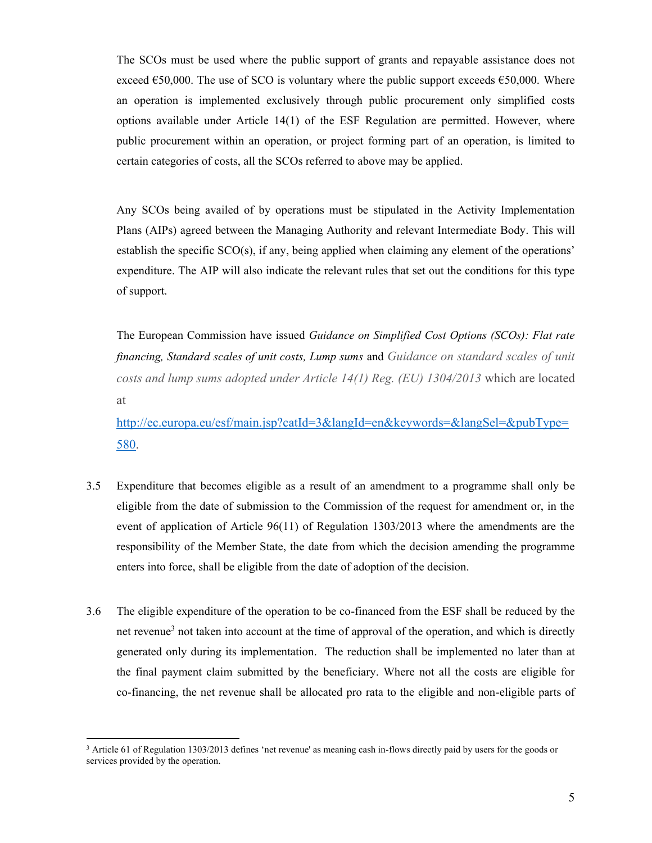The SCOs must be used where the public support of grants and repayable assistance does not exceed  $\epsilon$ 50,000. The use of SCO is voluntary where the public support exceeds  $\epsilon$ 50,000. Where an operation is implemented exclusively through public procurement only simplified costs options available under Article 14(1) of the ESF Regulation are permitted. However, where public procurement within an operation, or project forming part of an operation, is limited to certain categories of costs, all the SCOs referred to above may be applied.

Any SCOs being availed of by operations must be stipulated in the Activity Implementation Plans (AIPs) agreed between the Managing Authority and relevant Intermediate Body. This will establish the specific SCO(s), if any, being applied when claiming any element of the operations' expenditure. The AIP will also indicate the relevant rules that set out the conditions for this type of support.

The European Commission have issued *Guidance on Simplified Cost Options (SCOs): Flat rate financing, Standard scales of unit costs, Lump sums* and *Guidance on standard scales of unit costs and lump sums adopted under Article 14(1) Reg. (EU) 1304/2013* which are located at

[http://ec.europa.eu/esf/main.jsp?catId=3&langId=en&keywords=&langSel=&pubType=](http://ec.europa.eu/esf/main.jsp?catId=3&langId=en&keywords=&langSel=&pubType=580) [580.](http://ec.europa.eu/esf/main.jsp?catId=3&langId=en&keywords=&langSel=&pubType=580)

- 3.5 Expenditure that becomes eligible as a result of an amendment to a programme shall only be eligible from the date of submission to the Commission of the request for amendment or, in the event of application of Article 96(11) of Regulation 1303/2013 where the amendments are the responsibility of the Member State, the date from which the decision amending the programme enters into force, shall be eligible from the date of adoption of the decision.
- 3.6 The eligible expenditure of the operation to be co-financed from the ESF shall be reduced by the net revenue<sup>3</sup> not taken into account at the time of approval of the operation, and which is directly generated only during its implementation. The reduction shall be implemented no later than at the final payment claim submitted by the beneficiary. Where not all the costs are eligible for co-financing, the net revenue shall be allocated pro rata to the eligible and non-eligible parts of

 $\overline{a}$ 

<sup>&</sup>lt;sup>3</sup> Article 61 of Regulation 1303/2013 defines 'net revenue' as meaning cash in-flows directly paid by users for the goods or services provided by the operation.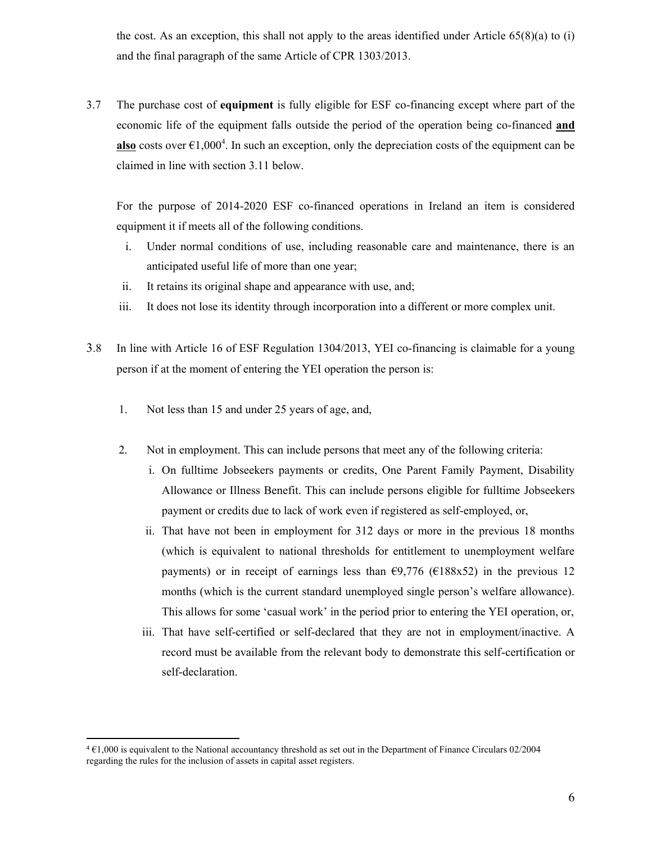the cost. As an exception, this shall not apply to the areas identified under Article  $65(8)(a)$  to (i) and the final paragraph of the same Article of CPR 1303/2013.

3.7 The purchase cost of **equipment** is fully eligible for ESF co-financing except where part of the economic life of the equipment falls outside the period of the operation being co-financed **and**  also costs over  $\epsilon$ 1,000<sup>4</sup>. In such an exception, only the depreciation costs of the equipment can be claimed in line with section 3.11 below.

For the purpose of 2014-2020 ESF co-financed operations in Ireland an item is considered equipment it if meets all of the following conditions.

- i. Under normal conditions of use, including reasonable care and maintenance, there is an anticipated useful life of more than one year;
- ii. It retains its original shape and appearance with use, and;
- iii. It does not lose its identity through incorporation into a different or more complex unit.
- 3.8 In line with Article 16 of ESF Regulation 1304/2013, YEI co-financing is claimable for a young person if at the moment of entering the YEI operation the person is:
	- 1. Not less than 15 and under 25 years of age, and,

 $\overline{a}$ 

- 2. Not in employment. This can include persons that meet any of the following criteria:
	- i. On fulltime Jobseekers payments or credits, One Parent Family Payment, Disability Allowance or Illness Benefit. This can include persons eligible for fulltime Jobseekers payment or credits due to lack of work even if registered as self-employed, or,
	- ii. That have not been in employment for 312 days or more in the previous 18 months (which is equivalent to national thresholds for entitlement to unemployment welfare payments) or in receipt of earnings less than  $\epsilon$ 9,776 ( $\epsilon$ 188x52) in the previous 12 months (which is the current standard unemployed single person's welfare allowance). This allows for some 'casual work' in the period prior to entering the YEI operation, or,
	- iii. That have self-certified or self-declared that they are not in employment/inactive. A record must be available from the relevant body to demonstrate this self-certification or self-declaration.

<sup>4</sup> €1,000 is equivalent to the National accountancy threshold as set out in the Department of Finance Circulars 02/2004 regarding the rules for the inclusion of assets in capital asset registers.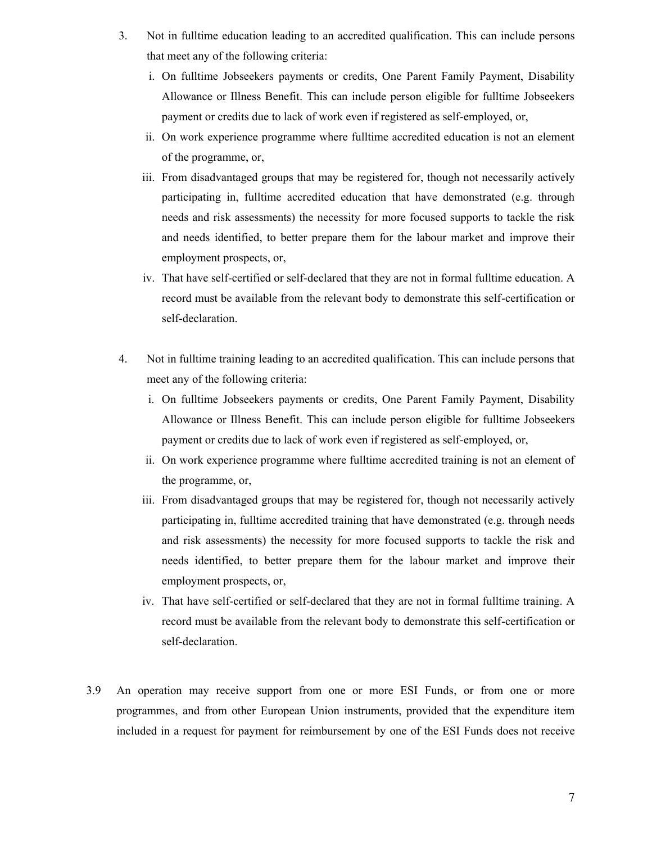- 3. Not in fulltime education leading to an accredited qualification. This can include persons that meet any of the following criteria:
	- i. On fulltime Jobseekers payments or credits, One Parent Family Payment, Disability Allowance or Illness Benefit. This can include person eligible for fulltime Jobseekers payment or credits due to lack of work even if registered as self-employed, or,
	- ii. On work experience programme where fulltime accredited education is not an element of the programme, or,
	- iii. From disadvantaged groups that may be registered for, though not necessarily actively participating in, fulltime accredited education that have demonstrated (e.g. through needs and risk assessments) the necessity for more focused supports to tackle the risk and needs identified, to better prepare them for the labour market and improve their employment prospects, or,
	- iv. That have self-certified or self-declared that they are not in formal fulltime education. A record must be available from the relevant body to demonstrate this self-certification or self-declaration.
- 4. Not in fulltime training leading to an accredited qualification. This can include persons that meet any of the following criteria:
	- i. On fulltime Jobseekers payments or credits, One Parent Family Payment, Disability Allowance or Illness Benefit. This can include person eligible for fulltime Jobseekers payment or credits due to lack of work even if registered as self-employed, or,
	- ii. On work experience programme where fulltime accredited training is not an element of the programme, or,
	- iii. From disadvantaged groups that may be registered for, though not necessarily actively participating in, fulltime accredited training that have demonstrated (e.g. through needs and risk assessments) the necessity for more focused supports to tackle the risk and needs identified, to better prepare them for the labour market and improve their employment prospects, or,
	- iv. That have self-certified or self-declared that they are not in formal fulltime training. A record must be available from the relevant body to demonstrate this self-certification or self-declaration.
- 3.9 An operation may receive support from one or more ESI Funds, or from one or more programmes, and from other European Union instruments, provided that the expenditure item included in a request for payment for reimbursement by one of the ESI Funds does not receive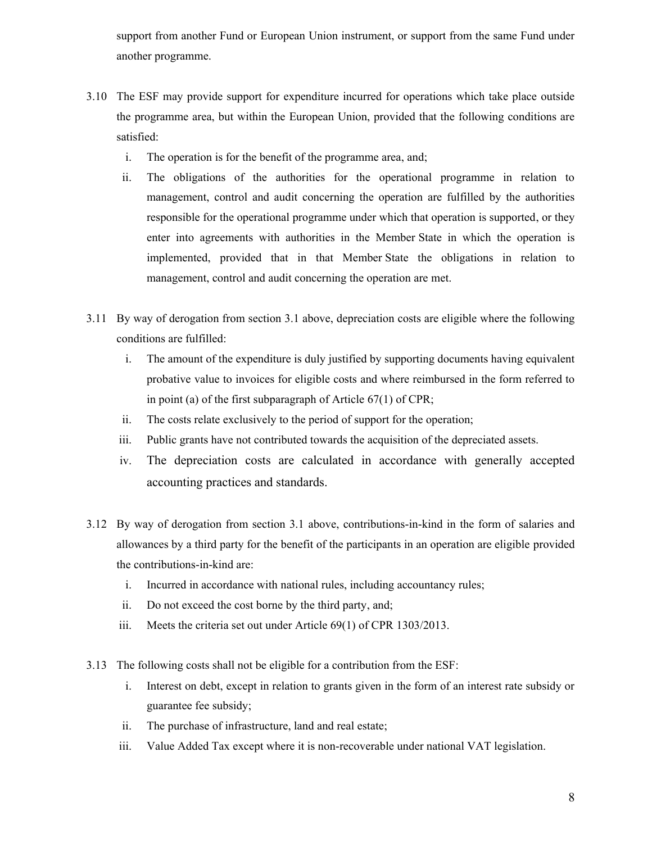support from another Fund or European Union instrument, or support from the same Fund under another programme.

- 3.10 The ESF may provide support for expenditure incurred for operations which take place outside the programme area, but within the European Union, provided that the following conditions are satisfied:
	- i. The operation is for the benefit of the programme area, and;
	- ii. The obligations of the authorities for the operational programme in relation to management, control and audit concerning the operation are fulfilled by the authorities responsible for the operational programme under which that operation is supported, or they enter into agreements with authorities in the Member State in which the operation is implemented, provided that in that Member State the obligations in relation to management, control and audit concerning the operation are met.
- 3.11 By way of derogation from section 3.1 above, depreciation costs are eligible where the following conditions are fulfilled:
	- i. The amount of the expenditure is duly justified by supporting documents having equivalent probative value to invoices for eligible costs and where reimbursed in the form referred to in point (a) of the first subparagraph of Article 67(1) of CPR;
	- ii. The costs relate exclusively to the period of support for the operation;
	- iii. Public grants have not contributed towards the acquisition of the depreciated assets.
	- iv. The depreciation costs are calculated in accordance with generally accepted accounting practices and standards.
- 3.12 By way of derogation from section 3.1 above, contributions-in-kind in the form of salaries and allowances by a third party for the benefit of the participants in an operation are eligible provided the contributions-in-kind are:
	- i. Incurred in accordance with national rules, including accountancy rules;
	- ii. Do not exceed the cost borne by the third party, and;
	- iii. Meets the criteria set out under Article 69(1) of CPR 1303/2013.
- 3.13 The following costs shall not be eligible for a contribution from the ESF:
	- i. Interest on debt, except in relation to grants given in the form of an interest rate subsidy or guarantee fee subsidy;
	- ii. The purchase of infrastructure, land and real estate;
	- iii. Value Added Tax except where it is non-recoverable under national VAT legislation.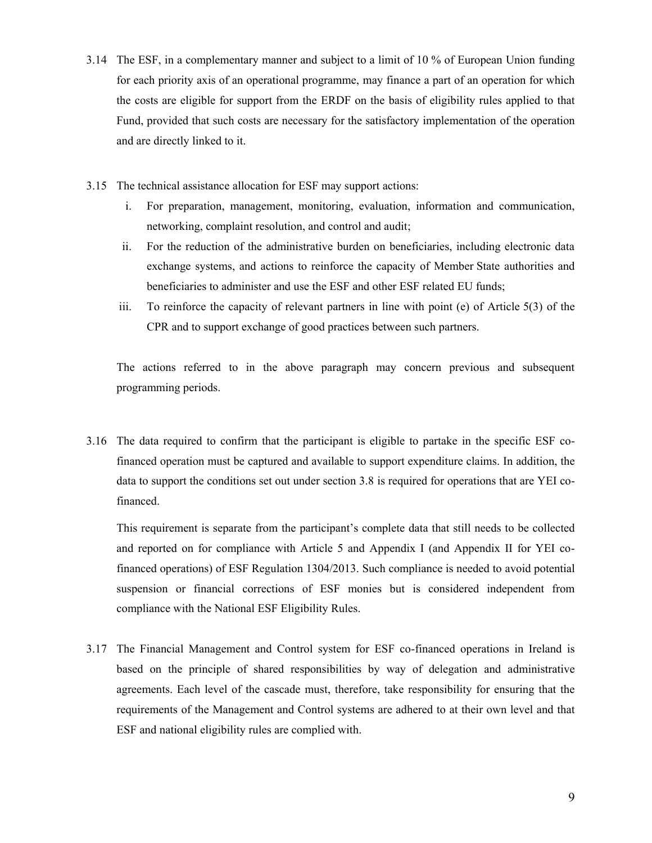- 3.14 The ESF, in a complementary manner and subject to a limit of 10 % of European Union funding for each priority axis of an operational programme, may finance a part of an operation for which the costs are eligible for support from the ERDF on the basis of eligibility rules applied to that Fund, provided that such costs are necessary for the satisfactory implementation of the operation and are directly linked to it.
- 3.15 The technical assistance allocation for ESF may support actions:
	- i. For preparation, management, monitoring, evaluation, information and communication, networking, complaint resolution, and control and audit;
	- ii. For the reduction of the administrative burden on beneficiaries, including electronic data exchange systems, and actions to reinforce the capacity of Member State authorities and beneficiaries to administer and use the ESF and other ESF related EU funds;
	- iii. To reinforce the capacity of relevant partners in line with point (e) of Article 5(3) of the CPR and to support exchange of good practices between such partners.

The actions referred to in the above paragraph may concern previous and subsequent programming periods.

3.16 The data required to confirm that the participant is eligible to partake in the specific ESF cofinanced operation must be captured and available to support expenditure claims. In addition, the data to support the conditions set out under section 3.8 is required for operations that are YEI cofinanced.

This requirement is separate from the participant's complete data that still needs to be collected and reported on for compliance with Article 5 and Appendix I (and Appendix II for YEI cofinanced operations) of ESF Regulation 1304/2013. Such compliance is needed to avoid potential suspension or financial corrections of ESF monies but is considered independent from compliance with the National ESF Eligibility Rules.

3.17 The Financial Management and Control system for ESF co-financed operations in Ireland is based on the principle of shared responsibilities by way of delegation and administrative agreements. Each level of the cascade must, therefore, take responsibility for ensuring that the requirements of the Management and Control systems are adhered to at their own level and that ESF and national eligibility rules are complied with.